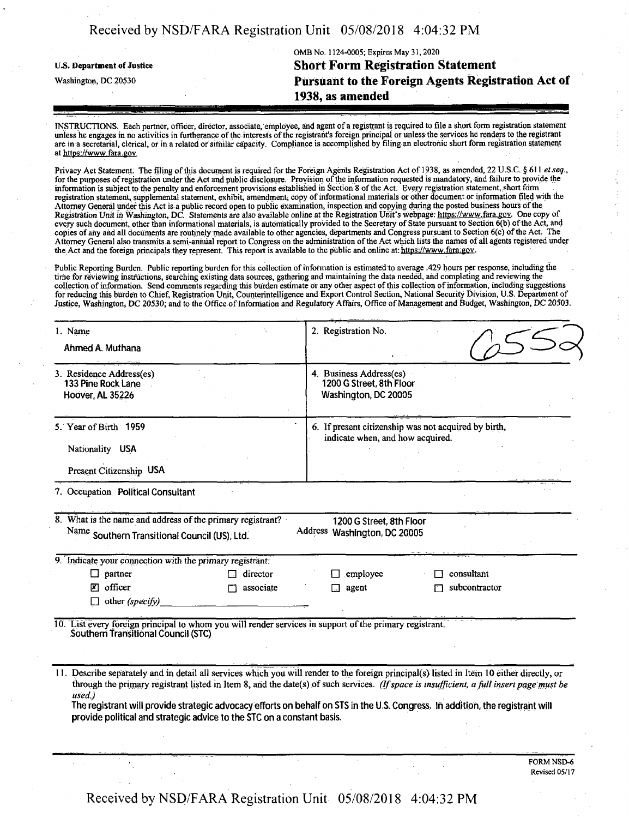| Received by NSD/FARA Registration Unit 05/08/2018 4:04:32 PM |  |  |
|--------------------------------------------------------------|--|--|
|                                                              |  |  |

OMB No. 1124-0005; Expires May 31, 2020 U.S. Department ofJustice **Short Form Registration Statement** Washington, dc <sup>20530</sup> **Pursuant to the Foreign Agents Registration Act of**

**1938, as amended**

INSTRUCTIONS. Each partner, officer, director, associate, employee, and agent of a registrant is required to file a short form registration statement unless he engages in no activities in furtherance ofthe interests ofthe registrant's foreign principal or unless the services he renders to the registrant are in a secretarial, clerical, or in a related orsimilar capacity. Compliance is accomplished by filing an electronic short form registration statement at https://www.fara.gov

Privacy Act Statement. The filing ofthis document is required for the Foreign Agents Registration Act of 1938, as amended, 22 U.S.C. § 611 *etseq.,* for the purposes of registration under the Act and public disclosure. Provision of the information requested is mandatory, and failure to provide the information is subject to the penalty and enforcement provisions established in Section 8 ofthe Act. Every registration statement, short form registration statement, supplemental statement, exhibit, amendment, copy of informational materials or other document or information filed with the Attorney General under this Act is a public record open to public examination, inspection and copying during the posted business hours ofthe Registration Unit in Washington, DC. Statements are also available online at the Registration Unit's webpage: https://www.fara.gov. One copy of every such document, other than informational materials, is automatically provided to the Secretary of State pursuant to Section 6(b) ofthe Act, and copies of any ahd all documents are routinely made available to other agencies, departments and Congress pursuant to Section 6(c) ofthe Act. The Attorney General also transmits a semi-annUal report to Congress on the administration ofthe Act which lists the names ofall agents registered under the Act and the foreign principals they represent. This report is available to the public and online at: https://www.fara.gov.

Public Reporting Burden. Public reporting burden for this collection of information is estimated to average .429 hours per response, including the time for reviewing instructions, searching existing data sources, gathering and maintaining the data needed, ahd completing and reviewing the collection of information. Send comments regarding this burden estimate or any other aspect of this collection of information, including suggestions for reducing this burden to Chief, Registration Unit, Counterintelligence and Export Control Section, National Security Division, U.S. Department of Justice, Washington, DC 20530; and to the Office of Information and Regulatory Affairs, Office of Management and Budget, Washington, DC 20503.

| 1. Name                                                                                                                                        | 2. Registration No.                                                                      |  |
|------------------------------------------------------------------------------------------------------------------------------------------------|------------------------------------------------------------------------------------------|--|
| Ahmed A. Muthana                                                                                                                               |                                                                                          |  |
| 3. Residence Address(es)<br>133 Pine Rock Lane<br>Hoover, AL 35226                                                                             | 4. Business Address(es)<br>1200 G Street, 8th Floor<br>Washington, DC 20005              |  |
| 5. Year of Birth 1959                                                                                                                          | 6. If present citizenship was not acquired by birth,<br>indicate when, and how acquired. |  |
| Nationality USA                                                                                                                                |                                                                                          |  |
| Present Citizenship USA                                                                                                                        |                                                                                          |  |
| 7. Occupation Political Consultant                                                                                                             |                                                                                          |  |
| 8. What is the name and address of the primary registrant?<br>Name Southern Transitional Council (US), Ltd.                                    | 1200 G Street, 8th Floor<br>Address Washington, DC 20005                                 |  |
| 9. Indicate your connection with the primary registrant:                                                                                       |                                                                                          |  |
| $\Box$ partner<br>director                                                                                                                     | consultant<br>employee                                                                   |  |
| <b>X</b> officer<br>associate                                                                                                                  | subcontractor<br>agent                                                                   |  |
| $\Box$ other (specify)                                                                                                                         |                                                                                          |  |
| 10. List every foreign principal to whom you will render services in support of the primary registrant.<br>Southern Transitional Council (STC) |                                                                                          |  |
|                                                                                                                                                |                                                                                          |  |